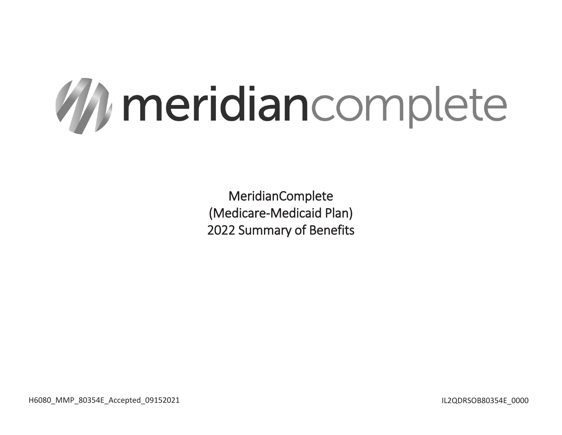

H6080\_MMP\_80354E\_Accepted\_09152021 details and the state of the state of the state of the state of the state of the state of the state of the state of the state of the state of the state of the state of the state of the st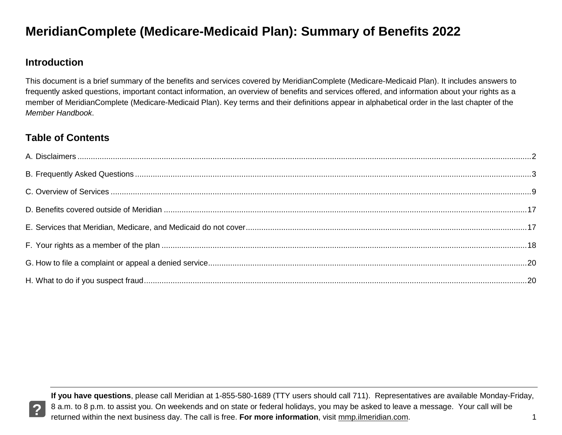#### **Introduction**

 This document is a brief summary of the benefits and services covered by MeridianComplete (Medicare-Medicaid Plan). It includes answers to frequently asked questions, important contact information, an overview of benefits and services offered, and information about your rights as a member of MeridianComplete (Medicare-Medicaid Plan). Key terms and their definitions appear in alphabetical order in the last chapter of the *Member Handbook*.

#### **Table of Contents**

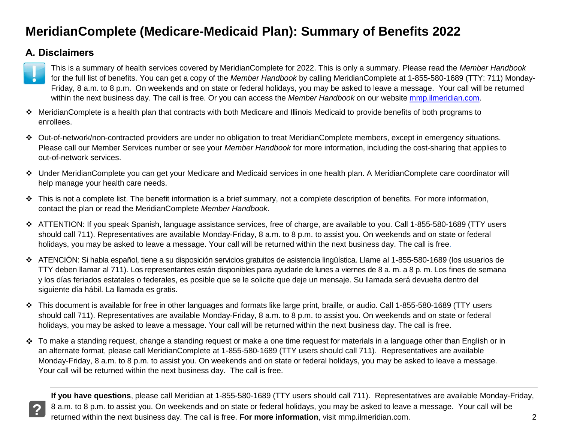#### <span id="page-2-0"></span>**A. Disclaimers**



- MeridianComplete is a health plan that contracts with both Medicare and Illinois Medicaid to provide benefits of both programs to enrollees.
- Out-of-network/non-contracted providers are under no obligation to treat MeridianComplete members, except in emergency situations. Please call our Member Services number or see your *Member Handbook* for more information, including the cost-sharing that applies to out-of-network services.
- Under MeridianComplete you can get your Medicare and Medicaid services in one health plan. A MeridianComplete care coordinator will help manage your health care needs.
- This is not a complete list. The benefit information is a brief summary, not a complete description of benefits. For more information, contact the plan or read the MeridianComplete *Member Handbook*.
- ATTENTION: If you speak Spanish, language assistance services, free of charge, are available to you. Call 1-855-580-1689 (TTY users should call 711). Representatives are available Monday-Friday, 8 a.m. to 8 p.m. to assist you. On weekends and on state or federal holidays, you may be asked to leave a message. Your call will be returned within the next business day. The call is free.
- ATENCIÓN: Si habla español, tiene a su disposición servicios gratuitos de asistencia lingüística. Llame al 1-855-580-1689 (los usuarios de TTY deben llamar al 711). Los representantes están disponibles para ayudarle de lunes a viernes de 8 a. m. a 8 p. m. Los fines de semana y los días feriados estatales o federales, es posible que se le solicite que deje un mensaje. Su llamada será devuelta dentro del siguiente día hábil. La llamada es gratis.
- This document is available for free in other languages and formats like large print, braille, or audio. Call 1-855-580-1689 (TTY users should call 711). Representatives are available Monday-Friday, 8 a.m. to 8 p.m. to assist you. On weekends and on state or federal holidays, you may be asked to leave a message. Your call will be returned within the next business day. The call is free.
- ❖ To make a standing request, change a standing request or make a one time request for materials in a language other than English or in an alternate format, please call MeridianComplete at 1-855-580-1689 (TTY users should call 711). Representatives are available Monday-Friday, 8 a.m. to 8 p.m. to assist you. On weekends and on state or federal holidays, you may be asked to leave a message. Your call will be returned within the next business day. The call is free.

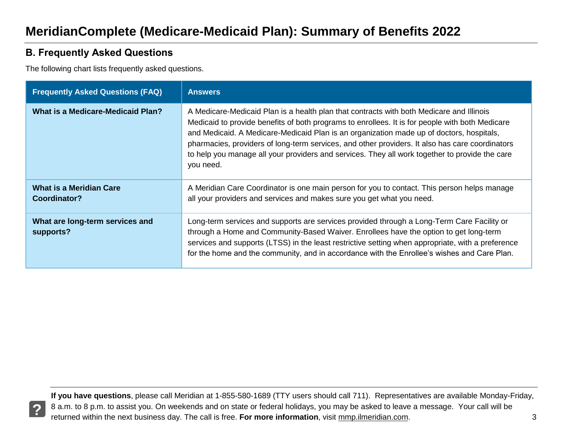#### <span id="page-3-0"></span>**B. Frequently Asked Questions**

The following chart lists frequently asked questions.

| <b>Frequently Asked Questions (FAQ)</b>        | <b>Answers</b>                                                                                                                                                                                                                                                                                                                                                                                                                                                                                            |
|------------------------------------------------|-----------------------------------------------------------------------------------------------------------------------------------------------------------------------------------------------------------------------------------------------------------------------------------------------------------------------------------------------------------------------------------------------------------------------------------------------------------------------------------------------------------|
| What is a Medicare-Medicaid Plan?              | A Medicare-Medicaid Plan is a health plan that contracts with both Medicare and Illinois<br>Medicaid to provide benefits of both programs to enrollees. It is for people with both Medicare<br>and Medicaid. A Medicare-Medicaid Plan is an organization made up of doctors, hospitals,<br>pharmacies, providers of long-term services, and other providers. It also has care coordinators<br>to help you manage all your providers and services. They all work together to provide the care<br>you need. |
| <b>What is a Meridian Care</b><br>Coordinator? | A Meridian Care Coordinator is one main person for you to contact. This person helps manage<br>all your providers and services and makes sure you get what you need.                                                                                                                                                                                                                                                                                                                                      |
| What are long-term services and<br>supports?   | Long-term services and supports are services provided through a Long-Term Care Facility or<br>through a Home and Community-Based Waiver. Enrollees have the option to get long-term<br>services and supports (LTSS) in the least restrictive setting when appropriate, with a preference<br>for the home and the community, and in accordance with the Enrollee's wishes and Care Plan.                                                                                                                   |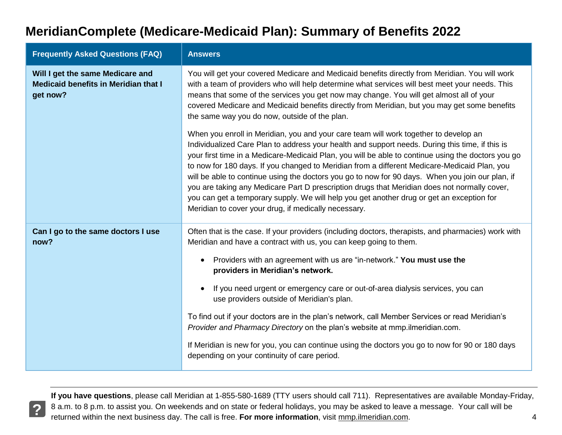| <b>Frequently Asked Questions (FAQ)</b>                                                     | <b>Answers</b>                                                                                                                                                                                                                                                                                                                                                                                                                                                                                                                                                                                                                                                                                                                                             |  |  |
|---------------------------------------------------------------------------------------------|------------------------------------------------------------------------------------------------------------------------------------------------------------------------------------------------------------------------------------------------------------------------------------------------------------------------------------------------------------------------------------------------------------------------------------------------------------------------------------------------------------------------------------------------------------------------------------------------------------------------------------------------------------------------------------------------------------------------------------------------------------|--|--|
| Will I get the same Medicare and<br><b>Medicaid benefits in Meridian that I</b><br>get now? | You will get your covered Medicare and Medicaid benefits directly from Meridian. You will work<br>with a team of providers who will help determine what services will best meet your needs. This<br>means that some of the services you get now may change. You will get almost all of your<br>covered Medicare and Medicaid benefits directly from Meridian, but you may get some benefits<br>the same way you do now, outside of the plan.                                                                                                                                                                                                                                                                                                               |  |  |
|                                                                                             | When you enroll in Meridian, you and your care team will work together to develop an<br>Individualized Care Plan to address your health and support needs. During this time, if this is<br>your first time in a Medicare-Medicaid Plan, you will be able to continue using the doctors you go<br>to now for 180 days. If you changed to Meridian from a different Medicare-Medicaid Plan, you<br>will be able to continue using the doctors you go to now for 90 days. When you join our plan, if<br>you are taking any Medicare Part D prescription drugs that Meridian does not normally cover,<br>you can get a temporary supply. We will help you get another drug or get an exception for<br>Meridian to cover your drug, if medically necessary.     |  |  |
| Can I go to the same doctors I use<br>now?                                                  | Often that is the case. If your providers (including doctors, therapists, and pharmacies) work with<br>Meridian and have a contract with us, you can keep going to them.<br>Providers with an agreement with us are "in-network." You must use the<br>providers in Meridian's network.<br>If you need urgent or emergency care or out-of-area dialysis services, you can<br>use providers outside of Meridian's plan.<br>To find out if your doctors are in the plan's network, call Member Services or read Meridian's<br>Provider and Pharmacy Directory on the plan's website at mmp.ilmeridian.com.<br>If Meridian is new for you, you can continue using the doctors you go to now for 90 or 180 days<br>depending on your continuity of care period. |  |  |

 **If you have questions**, please call Meridian at 1-855-580-1689 (TTY users should call 711). Representatives are available Monday-Friday, 8 a.m. to 8 p.m. to assist you. On weekends and on state or federal holidays, you may be asked to leave a message. Your call will be returned within the next business day. The call is free. **For more information**, visit mmp.ilmeridian.com. 4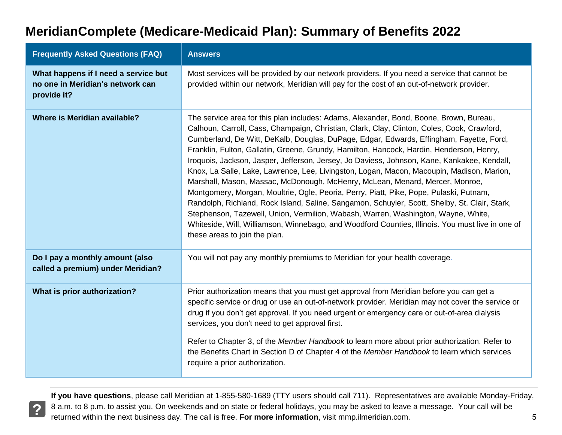| <b>Frequently Asked Questions (FAQ)</b>                                                 | <b>Answers</b>                                                                                                                                                                                                                                                                                                                                                                                                                                                                                                                                                                                                                                                                                                                                                                                                                                                                                                                                                                                                                                                               |
|-----------------------------------------------------------------------------------------|------------------------------------------------------------------------------------------------------------------------------------------------------------------------------------------------------------------------------------------------------------------------------------------------------------------------------------------------------------------------------------------------------------------------------------------------------------------------------------------------------------------------------------------------------------------------------------------------------------------------------------------------------------------------------------------------------------------------------------------------------------------------------------------------------------------------------------------------------------------------------------------------------------------------------------------------------------------------------------------------------------------------------------------------------------------------------|
| What happens if I need a service but<br>no one in Meridian's network can<br>provide it? | Most services will be provided by our network providers. If you need a service that cannot be<br>provided within our network, Meridian will pay for the cost of an out-of-network provider.                                                                                                                                                                                                                                                                                                                                                                                                                                                                                                                                                                                                                                                                                                                                                                                                                                                                                  |
| <b>Where is Meridian available?</b>                                                     | The service area for this plan includes: Adams, Alexander, Bond, Boone, Brown, Bureau,<br>Calhoun, Carroll, Cass, Champaign, Christian, Clark, Clay, Clinton, Coles, Cook, Crawford,<br>Cumberland, De Witt, DeKalb, Douglas, DuPage, Edgar, Edwards, Effingham, Fayette, Ford,<br>Franklin, Fulton, Gallatin, Greene, Grundy, Hamilton, Hancock, Hardin, Henderson, Henry,<br>Iroquois, Jackson, Jasper, Jefferson, Jersey, Jo Daviess, Johnson, Kane, Kankakee, Kendall,<br>Knox, La Salle, Lake, Lawrence, Lee, Livingston, Logan, Macon, Macoupin, Madison, Marion,<br>Marshall, Mason, Massac, McDonough, McHenry, McLean, Menard, Mercer, Monroe,<br>Montgomery, Morgan, Moultrie, Ogle, Peoria, Perry, Piatt, Pike, Pope, Pulaski, Putnam,<br>Randolph, Richland, Rock Island, Saline, Sangamon, Schuyler, Scott, Shelby, St. Clair, Stark,<br>Stephenson, Tazewell, Union, Vermilion, Wabash, Warren, Washington, Wayne, White,<br>Whiteside, Will, Williamson, Winnebago, and Woodford Counties, Illinois. You must live in one of<br>these areas to join the plan. |
| Do I pay a monthly amount (also<br>called a premium) under Meridian?                    | You will not pay any monthly premiums to Meridian for your health coverage.                                                                                                                                                                                                                                                                                                                                                                                                                                                                                                                                                                                                                                                                                                                                                                                                                                                                                                                                                                                                  |
| What is prior authorization?                                                            | Prior authorization means that you must get approval from Meridian before you can get a<br>specific service or drug or use an out-of-network provider. Meridian may not cover the service or<br>drug if you don't get approval. If you need urgent or emergency care or out-of-area dialysis<br>services, you don't need to get approval first.<br>Refer to Chapter 3, of the Member Handbook to learn more about prior authorization. Refer to<br>the Benefits Chart in Section D of Chapter 4 of the Member Handbook to learn which services<br>require a prior authorization.                                                                                                                                                                                                                                                                                                                                                                                                                                                                                             |

 **If you have questions**, please call Meridian at 1-855-580-1689 (TTY users should call 711). Representatives are available Monday-Friday, 8 a.m. to 8 p.m. to assist you. On weekends and on state or federal holidays, you may be asked to leave a message. Your call will be returned within the next business day. The call is free. **For more information**, visit mmp.ilmeridian.com. 5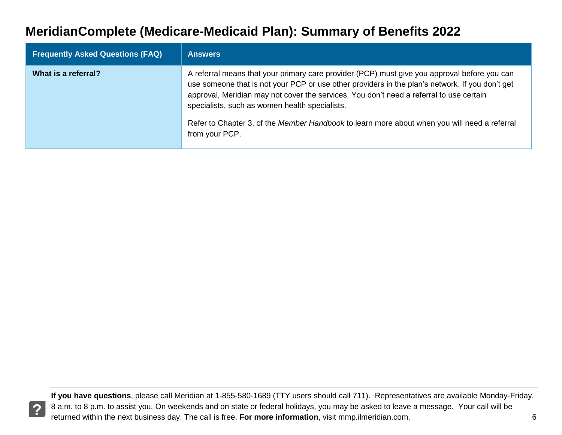| <b>Frequently Asked Questions (FAQ)</b> | <b>Answers</b>                                                                                                                                                                                                                                                                                                                                                                                                                                                 |
|-----------------------------------------|----------------------------------------------------------------------------------------------------------------------------------------------------------------------------------------------------------------------------------------------------------------------------------------------------------------------------------------------------------------------------------------------------------------------------------------------------------------|
| What is a referral?                     | A referral means that your primary care provider (PCP) must give you approval before you can<br>use someone that is not your PCP or use other providers in the plan's network. If you don't get<br>approval, Meridian may not cover the services. You don't need a referral to use certain<br>specialists, such as women health specialists.<br>Refer to Chapter 3, of the Member Handbook to learn more about when you will need a referral<br>from your PCP. |

 **If you have questions**, please call Meridian at 1-855-580-1689 (TTY users should call 711). Representatives are available Monday-Friday, 8 a.m. to 8 p.m. to assist you. On weekends and on state or federal holidays, you may be asked to leave a message. Your call will be returned within the next business day. The call is free. **For more information**, visit mmp.ilmeridian.com. 6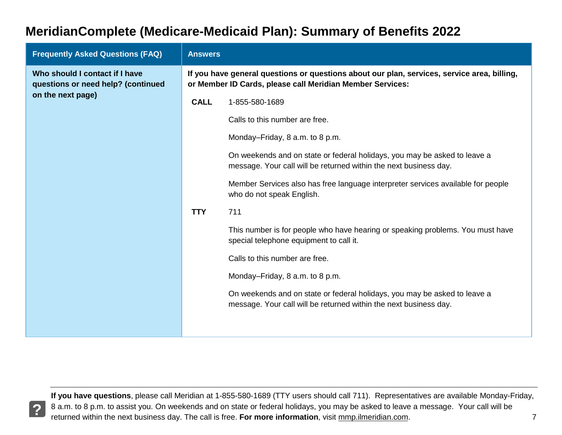| <b>Frequently Asked Questions (FAQ)</b>                                                   | <b>Answers</b>                                                                                                                                           |                                                                                                                                                |  |
|-------------------------------------------------------------------------------------------|----------------------------------------------------------------------------------------------------------------------------------------------------------|------------------------------------------------------------------------------------------------------------------------------------------------|--|
| Who should I contact if I have<br>questions or need help? (continued<br>on the next page) | If you have general questions or questions about our plan, services, service area, billing,<br>or Member ID Cards, please call Meridian Member Services: |                                                                                                                                                |  |
|                                                                                           | <b>CALL</b>                                                                                                                                              | 1-855-580-1689                                                                                                                                 |  |
|                                                                                           |                                                                                                                                                          | Calls to this number are free.                                                                                                                 |  |
|                                                                                           |                                                                                                                                                          | Monday-Friday, 8 a.m. to 8 p.m.                                                                                                                |  |
|                                                                                           |                                                                                                                                                          | On weekends and on state or federal holidays, you may be asked to leave a<br>message. Your call will be returned within the next business day. |  |
|                                                                                           |                                                                                                                                                          | Member Services also has free language interpreter services available for people<br>who do not speak English.                                  |  |
|                                                                                           | <b>TTY</b>                                                                                                                                               | 711                                                                                                                                            |  |
|                                                                                           |                                                                                                                                                          | This number is for people who have hearing or speaking problems. You must have<br>special telephone equipment to call it.                      |  |
|                                                                                           |                                                                                                                                                          | Calls to this number are free.                                                                                                                 |  |
|                                                                                           |                                                                                                                                                          | Monday-Friday, 8 a.m. to 8 p.m.                                                                                                                |  |
|                                                                                           |                                                                                                                                                          | On weekends and on state or federal holidays, you may be asked to leave a<br>message. Your call will be returned within the next business day. |  |
|                                                                                           |                                                                                                                                                          |                                                                                                                                                |  |

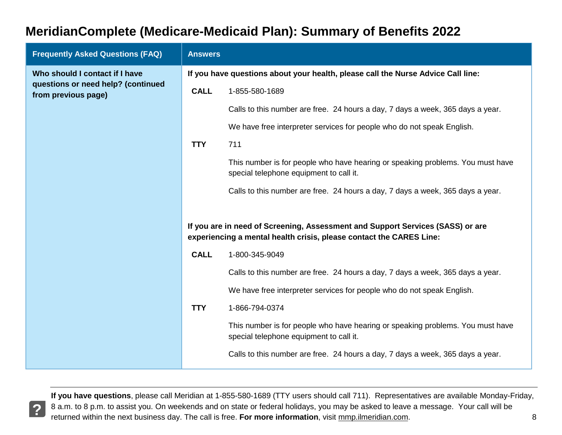| <b>Frequently Asked Questions (FAQ)</b>                   | <b>Answers</b>                                                                   |                                                                                                                                                       |  |
|-----------------------------------------------------------|----------------------------------------------------------------------------------|-------------------------------------------------------------------------------------------------------------------------------------------------------|--|
| Who should I contact if I have                            | If you have questions about your health, please call the Nurse Advice Call line: |                                                                                                                                                       |  |
| questions or need help? (continued<br>from previous page) | <b>CALL</b>                                                                      | 1-855-580-1689                                                                                                                                        |  |
|                                                           |                                                                                  | Calls to this number are free. 24 hours a day, 7 days a week, 365 days a year.                                                                        |  |
|                                                           |                                                                                  | We have free interpreter services for people who do not speak English.                                                                                |  |
|                                                           | <b>TTY</b>                                                                       | 711                                                                                                                                                   |  |
|                                                           |                                                                                  | This number is for people who have hearing or speaking problems. You must have<br>special telephone equipment to call it.                             |  |
|                                                           |                                                                                  | Calls to this number are free. 24 hours a day, 7 days a week, 365 days a year.                                                                        |  |
|                                                           |                                                                                  |                                                                                                                                                       |  |
|                                                           |                                                                                  | If you are in need of Screening, Assessment and Support Services (SASS) or are<br>experiencing a mental health crisis, please contact the CARES Line: |  |
|                                                           | <b>CALL</b>                                                                      | 1-800-345-9049                                                                                                                                        |  |
|                                                           |                                                                                  | Calls to this number are free. 24 hours a day, 7 days a week, 365 days a year.                                                                        |  |
|                                                           |                                                                                  | We have free interpreter services for people who do not speak English.                                                                                |  |
|                                                           | <b>TTY</b>                                                                       | 1-866-794-0374                                                                                                                                        |  |
|                                                           |                                                                                  | This number is for people who have hearing or speaking problems. You must have<br>special telephone equipment to call it.                             |  |
|                                                           |                                                                                  | Calls to this number are free. 24 hours a day, 7 days a week, 365 days a year.                                                                        |  |

 **If you have questions**, please call Meridian at 1-855-580-1689 (TTY users should call 711). Representatives are available Monday-Friday, 8 a.m. to 8 p.m. to assist you. On weekends and on state or federal holidays, you may be asked to leave a message. Your call will be returned within the next business day. The call is free. **For more information**, visit mmp.ilmeridian.com. 8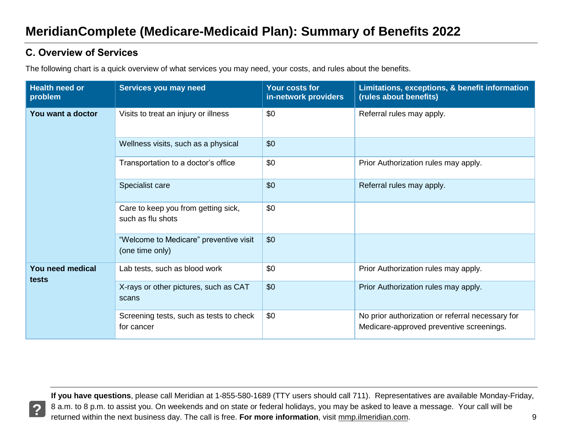#### <span id="page-9-0"></span>**C. Overview of Services**

The following chart is a quick overview of what services you may need, your costs, and rules about the benefits.

| <b>Health need or</b><br>problem | Services you may need                                     | <b>Your costs for</b><br>in-network providers | Limitations, exceptions, & benefit information<br>(rules about benefits)                     |
|----------------------------------|-----------------------------------------------------------|-----------------------------------------------|----------------------------------------------------------------------------------------------|
| You want a doctor                | Visits to treat an injury or illness                      | \$0                                           | Referral rules may apply.                                                                    |
|                                  | Wellness visits, such as a physical                       | \$0                                           |                                                                                              |
|                                  | Transportation to a doctor's office                       | \$0                                           | Prior Authorization rules may apply.                                                         |
|                                  | Specialist care                                           | \$0                                           | Referral rules may apply.                                                                    |
|                                  | Care to keep you from getting sick,<br>such as flu shots  | \$0                                           |                                                                                              |
|                                  | "Welcome to Medicare" preventive visit<br>(one time only) | \$0                                           |                                                                                              |
| You need medical<br>tests        | Lab tests, such as blood work                             | \$0                                           | Prior Authorization rules may apply.                                                         |
|                                  | X-rays or other pictures, such as CAT<br>scans            | \$0                                           | Prior Authorization rules may apply.                                                         |
|                                  | Screening tests, such as tests to check<br>for cancer     | \$0                                           | No prior authorization or referral necessary for<br>Medicare-approved preventive screenings. |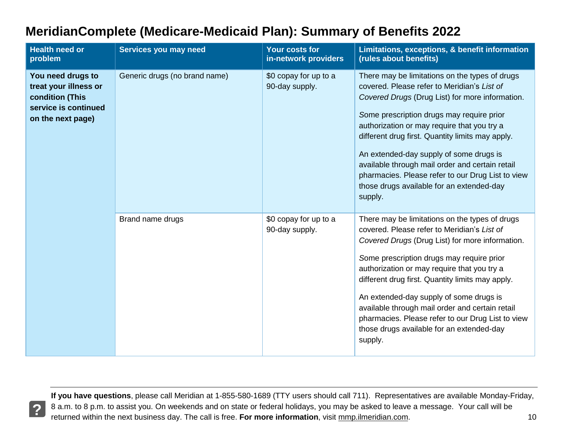| <b>Health need or</b><br>problem                                                                           | Services you may need         | Your costs for<br>in-network providers  | Limitations, exceptions, & benefit information<br>(rules about benefits)                                                                                                                                                                                                                                                                                                                                                                                                                                    |
|------------------------------------------------------------------------------------------------------------|-------------------------------|-----------------------------------------|-------------------------------------------------------------------------------------------------------------------------------------------------------------------------------------------------------------------------------------------------------------------------------------------------------------------------------------------------------------------------------------------------------------------------------------------------------------------------------------------------------------|
| You need drugs to<br>treat your illness or<br>condition (This<br>service is continued<br>on the next page) | Generic drugs (no brand name) | \$0 copay for up to a<br>90-day supply. | There may be limitations on the types of drugs<br>covered. Please refer to Meridian's List of<br>Covered Drugs (Drug List) for more information.<br>Some prescription drugs may require prior<br>authorization or may require that you try a<br>different drug first. Quantity limits may apply.<br>An extended-day supply of some drugs is<br>available through mail order and certain retail<br>pharmacies. Please refer to our Drug List to view<br>those drugs available for an extended-day<br>supply. |
|                                                                                                            | Brand name drugs              | \$0 copay for up to a<br>90-day supply. | There may be limitations on the types of drugs<br>covered. Please refer to Meridian's List of<br>Covered Drugs (Drug List) for more information.<br>Some prescription drugs may require prior<br>authorization or may require that you try a<br>different drug first. Quantity limits may apply.<br>An extended-day supply of some drugs is<br>available through mail order and certain retail<br>pharmacies. Please refer to our Drug List to view<br>those drugs available for an extended-day<br>supply. |

 **If you have questions**, please call Meridian at 1-855-580-1689 (TTY users should call 711). Representatives are available Monday-Friday, 8 a.m. to 8 p.m. to assist you. On weekends and on state or federal holidays, you may be asked to leave a message. Your call will be returned within the next business day. The call is free. For more information, visit mmp.ilmeridian.com. **10** meta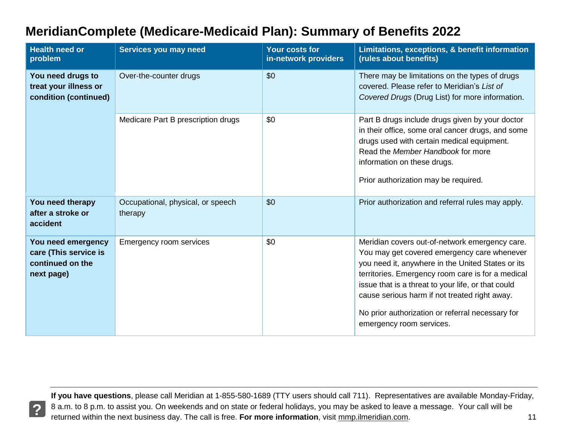| <b>Health need or</b><br>problem                                              | Services you may need                        | <b>Your costs for</b><br>in-network providers | Limitations, exceptions, & benefit information<br>(rules about benefits)                                                                                                                                                                                                                                                                                                                       |
|-------------------------------------------------------------------------------|----------------------------------------------|-----------------------------------------------|------------------------------------------------------------------------------------------------------------------------------------------------------------------------------------------------------------------------------------------------------------------------------------------------------------------------------------------------------------------------------------------------|
| You need drugs to<br>treat your illness or<br>condition (continued)           | Over-the-counter drugs                       | \$0                                           | There may be limitations on the types of drugs<br>covered. Please refer to Meridian's List of<br>Covered Drugs (Drug List) for more information.                                                                                                                                                                                                                                               |
|                                                                               | Medicare Part B prescription drugs           | \$0                                           | Part B drugs include drugs given by your doctor<br>in their office, some oral cancer drugs, and some<br>drugs used with certain medical equipment.<br>Read the Member Handbook for more<br>information on these drugs.<br>Prior authorization may be required.                                                                                                                                 |
| You need therapy<br>after a stroke or<br>accident                             | Occupational, physical, or speech<br>therapy | \$0                                           | Prior authorization and referral rules may apply.                                                                                                                                                                                                                                                                                                                                              |
| You need emergency<br>care (This service is<br>continued on the<br>next page) | <b>Emergency room services</b>               | \$0                                           | Meridian covers out-of-network emergency care.<br>You may get covered emergency care whenever<br>you need it, anywhere in the United States or its<br>territories. Emergency room care is for a medical<br>issue that is a threat to your life, or that could<br>cause serious harm if not treated right away.<br>No prior authorization or referral necessary for<br>emergency room services. |

**?**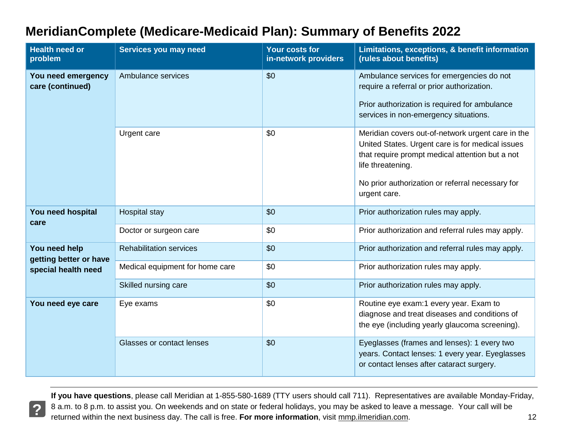| <b>MeridianComplete (Medicare-Medicaid Plan): Summary of Benefits 2022</b> |
|----------------------------------------------------------------------------|
|----------------------------------------------------------------------------|

| <b>Health need or</b><br>problem                               | Services you may need           | Your costs for<br>in-network providers | Limitations, exceptions, & benefit information<br>(rules about benefits)                                                                                                                                                                          |
|----------------------------------------------------------------|---------------------------------|----------------------------------------|---------------------------------------------------------------------------------------------------------------------------------------------------------------------------------------------------------------------------------------------------|
| You need emergency<br>care (continued)                         | Ambulance services              | \$0                                    | Ambulance services for emergencies do not<br>require a referral or prior authorization.<br>Prior authorization is required for ambulance<br>services in non-emergency situations.                                                                 |
|                                                                | Urgent care                     | \$0                                    | Meridian covers out-of-network urgent care in the<br>United States. Urgent care is for medical issues<br>that require prompt medical attention but a not<br>life threatening.<br>No prior authorization or referral necessary for<br>urgent care. |
| You need hospital<br>care                                      | <b>Hospital stay</b>            | \$0                                    | Prior authorization rules may apply.                                                                                                                                                                                                              |
|                                                                | Doctor or surgeon care          | \$0                                    | Prior authorization and referral rules may apply.                                                                                                                                                                                                 |
| You need help<br>getting better or have<br>special health need | <b>Rehabilitation services</b>  | \$0                                    | Prior authorization and referral rules may apply.                                                                                                                                                                                                 |
|                                                                | Medical equipment for home care | \$0                                    | Prior authorization rules may apply.                                                                                                                                                                                                              |
|                                                                | Skilled nursing care            | \$0                                    | Prior authorization rules may apply.                                                                                                                                                                                                              |
| You need eye care                                              | Eye exams                       | \$0                                    | Routine eye exam:1 every year. Exam to<br>diagnose and treat diseases and conditions of<br>the eye (including yearly glaucoma screening).                                                                                                         |
|                                                                | Glasses or contact lenses       | \$0                                    | Eyeglasses (frames and lenses): 1 every two<br>years. Contact lenses: 1 every year. Eyeglasses<br>or contact lenses after cataract surgery.                                                                                                       |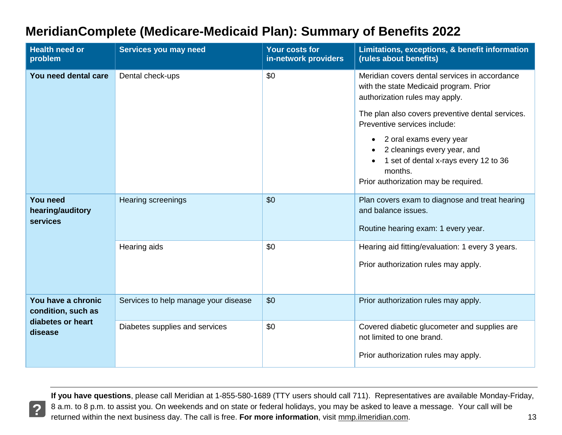| <b>Health need or</b><br>problem                                         | Services you may need                | Your costs for<br>in-network providers | Limitations, exceptions, & benefit information<br>(rules about benefits)                                                                           |
|--------------------------------------------------------------------------|--------------------------------------|----------------------------------------|----------------------------------------------------------------------------------------------------------------------------------------------------|
| You need dental care                                                     | Dental check-ups                     | \$0                                    | Meridian covers dental services in accordance<br>with the state Medicaid program. Prior<br>authorization rules may apply.                          |
|                                                                          |                                      |                                        | The plan also covers preventive dental services.<br>Preventive services include:                                                                   |
|                                                                          |                                      |                                        | 2 oral exams every year<br>2 cleanings every year, and<br>1 set of dental x-rays every 12 to 36<br>months.<br>Prior authorization may be required. |
| <b>You need</b><br>hearing/auditory<br>services                          | <b>Hearing screenings</b>            | \$0                                    | Plan covers exam to diagnose and treat hearing<br>and balance issues.<br>Routine hearing exam: 1 every year.                                       |
|                                                                          | Hearing aids                         | \$0                                    | Hearing aid fitting/evaluation: 1 every 3 years.<br>Prior authorization rules may apply.                                                           |
| You have a chronic<br>condition, such as<br>diabetes or heart<br>disease | Services to help manage your disease | \$0                                    | Prior authorization rules may apply.                                                                                                               |
|                                                                          | Diabetes supplies and services       | \$0                                    | Covered diabetic glucometer and supplies are<br>not limited to one brand.<br>Prior authorization rules may apply.                                  |

 **If you have questions**, please call Meridian at 1-855-580-1689 (TTY users should call 711). Representatives are available Monday-Friday, 8 a.m. to 8 p.m. to assist you. On weekends and on state or federal holidays, you may be asked to leave a message. Your call will be returned within the next business day. The call is free. For more information, visit mmp.ilmeridian.com. 13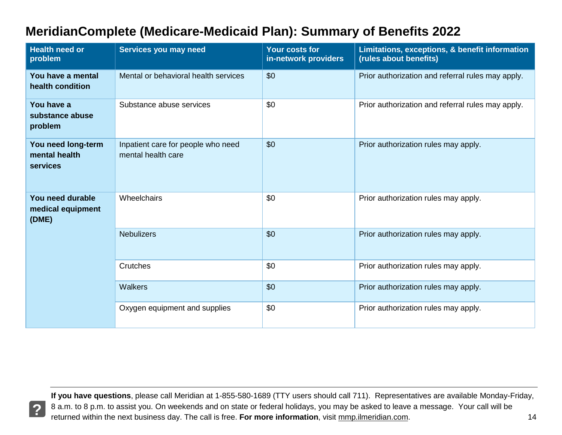| <b>Health need or</b><br>problem                       | Services you may need                                    | Your costs for<br>in-network providers | Limitations, exceptions, & benefit information<br>(rules about benefits) |
|--------------------------------------------------------|----------------------------------------------------------|----------------------------------------|--------------------------------------------------------------------------|
| You have a mental<br>health condition                  | Mental or behavioral health services                     | \$0                                    | Prior authorization and referral rules may apply.                        |
| You have a<br>substance abuse<br>problem               | Substance abuse services                                 | \$0                                    | Prior authorization and referral rules may apply.                        |
| You need long-term<br>mental health<br><b>services</b> | Inpatient care for people who need<br>mental health care | \$0                                    | Prior authorization rules may apply.                                     |
| You need durable<br>medical equipment<br>(DME)         | Wheelchairs                                              | \$0                                    | Prior authorization rules may apply.                                     |
|                                                        | <b>Nebulizers</b>                                        | \$0                                    | Prior authorization rules may apply.                                     |
|                                                        | Crutches                                                 | \$0                                    | Prior authorization rules may apply.                                     |
|                                                        | <b>Walkers</b>                                           | \$0                                    | Prior authorization rules may apply.                                     |
|                                                        | Oxygen equipment and supplies                            | \$0                                    | Prior authorization rules may apply.                                     |

**?**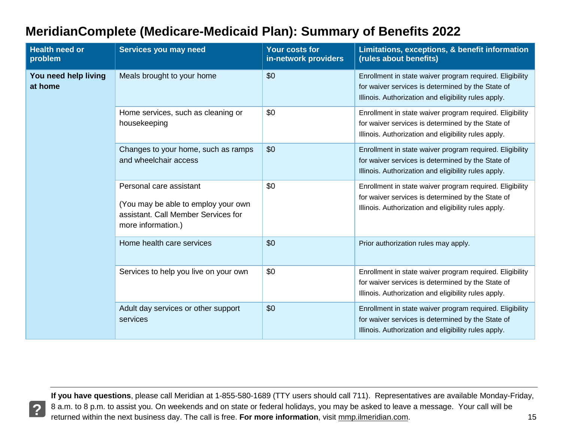| <b>MeridianComplete (Medicare-Medicaid Plan): Summary of Benefits 2022</b> |  |
|----------------------------------------------------------------------------|--|
|----------------------------------------------------------------------------|--|

| <b>Health need or</b><br>problem | Services you may need                                                                                                       | <b>Your costs for</b><br>in-network providers | Limitations, exceptions, & benefit information<br>(rules about benefits)                                                                                              |
|----------------------------------|-----------------------------------------------------------------------------------------------------------------------------|-----------------------------------------------|-----------------------------------------------------------------------------------------------------------------------------------------------------------------------|
| You need help living<br>at home  | Meals brought to your home                                                                                                  | \$0                                           | Enrollment in state waiver program required. Eligibility<br>for waiver services is determined by the State of<br>Illinois. Authorization and eligibility rules apply. |
|                                  | Home services, such as cleaning or<br>housekeeping                                                                          | \$0                                           | Enrollment in state waiver program required. Eligibility<br>for waiver services is determined by the State of<br>Illinois. Authorization and eligibility rules apply. |
|                                  | Changes to your home, such as ramps<br>and wheelchair access                                                                | \$0                                           | Enrollment in state waiver program required. Eligibility<br>for waiver services is determined by the State of<br>Illinois. Authorization and eligibility rules apply. |
|                                  | Personal care assistant<br>(You may be able to employ your own<br>assistant. Call Member Services for<br>more information.) | \$0                                           | Enrollment in state waiver program required. Eligibility<br>for waiver services is determined by the State of<br>Illinois. Authorization and eligibility rules apply. |
|                                  | Home health care services                                                                                                   | \$0                                           | Prior authorization rules may apply.                                                                                                                                  |
|                                  | Services to help you live on your own                                                                                       | \$0                                           | Enrollment in state waiver program required. Eligibility<br>for waiver services is determined by the State of<br>Illinois. Authorization and eligibility rules apply. |
|                                  | Adult day services or other support<br>services                                                                             | \$0                                           | Enrollment in state waiver program required. Eligibility<br>for waiver services is determined by the State of<br>Illinois. Authorization and eligibility rules apply. |

 **If you have questions**, please call Meridian at 1-855-580-1689 (TTY users should call 711). Representatives are available Monday-Friday, 8 a.m. to 8 p.m. to assist you. On weekends and on state or federal holidays, you may be asked to leave a message. Your call will be returned within the next business day. The call is free. **For more information**, visit mmp.ilmeridian.com. 15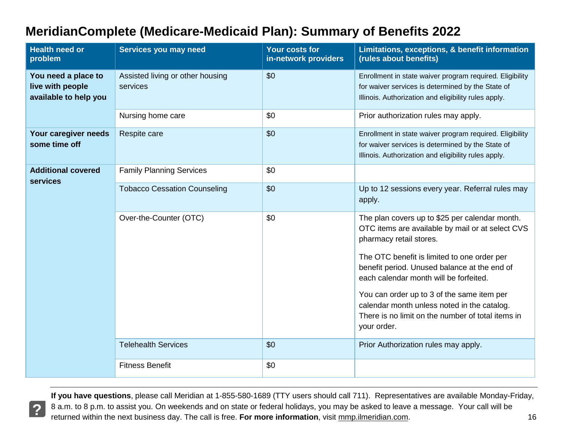| <b>Health need or</b><br>problem                                 | Services you may need                        | <b>Your costs for</b><br>in-network providers | Limitations, exceptions, & benefit information<br>(rules about benefits)                                                                                                     |
|------------------------------------------------------------------|----------------------------------------------|-----------------------------------------------|------------------------------------------------------------------------------------------------------------------------------------------------------------------------------|
| You need a place to<br>live with people<br>available to help you | Assisted living or other housing<br>services | \$0                                           | Enrollment in state waiver program required. Eligibility<br>for waiver services is determined by the State of<br>Illinois. Authorization and eligibility rules apply.        |
|                                                                  | Nursing home care                            | \$0                                           | Prior authorization rules may apply.                                                                                                                                         |
| Your caregiver needs<br>some time off                            | Respite care                                 | \$0                                           | Enrollment in state waiver program required. Eligibility<br>for waiver services is determined by the State of<br>Illinois. Authorization and eligibility rules apply.        |
| <b>Additional covered</b><br><b>services</b>                     | <b>Family Planning Services</b>              | \$0                                           |                                                                                                                                                                              |
|                                                                  | <b>Tobacco Cessation Counseling</b>          | \$0                                           | Up to 12 sessions every year. Referral rules may<br>apply.                                                                                                                   |
|                                                                  | Over-the-Counter (OTC)                       | \$0                                           | The plan covers up to \$25 per calendar month.<br>OTC items are available by mail or at select CVS<br>pharmacy retail stores.<br>The OTC benefit is limited to one order per |
|                                                                  |                                              |                                               | benefit period. Unused balance at the end of<br>each calendar month will be forfeited.                                                                                       |
|                                                                  |                                              |                                               | You can order up to 3 of the same item per<br>calendar month unless noted in the catalog.<br>There is no limit on the number of total items in<br>your order.                |
|                                                                  | <b>Telehealth Services</b>                   | \$0                                           | Prior Authorization rules may apply.                                                                                                                                         |
|                                                                  | <b>Fitness Benefit</b>                       | \$0                                           |                                                                                                                                                                              |

 **If you have questions**, please call Meridian at 1-855-580-1689 (TTY users should call 711). Representatives are available Monday-Friday, 8 a.m. to 8 p.m. to assist you. On weekends and on state or federal holidays, you may be asked to leave a message. Your call will be returned within the next business day. The call is free. **For more information**, visit mmp.ilmeridian.com. 16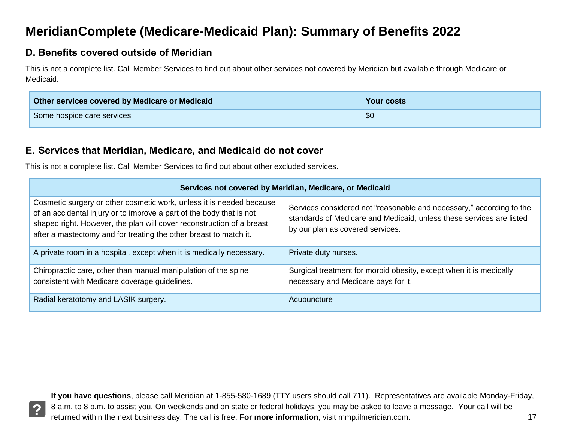#### <span id="page-17-0"></span>**D. Benefits covered outside of Meridian**

 This is not a complete list. Call Member Services to find out about other services not covered by Meridian but available through Medicare or Medicaid.

| Other services covered by Medicare or Medicaid | <b>Your costs</b> |
|------------------------------------------------|-------------------|
| Some hospice care services                     | \$0               |

#### <span id="page-17-1"></span> **E. Services that Meridian, Medicare, and Medicaid do not cover**

This is not a complete list. Call Member Services to find out about other excluded services.

| Services not covered by Meridian, Medicare, or Medicaid                                                                                                                                                                                                                                    |                                                                                                                                                                                  |  |
|--------------------------------------------------------------------------------------------------------------------------------------------------------------------------------------------------------------------------------------------------------------------------------------------|----------------------------------------------------------------------------------------------------------------------------------------------------------------------------------|--|
| Cosmetic surgery or other cosmetic work, unless it is needed because<br>of an accidental injury or to improve a part of the body that is not<br>shaped right. However, the plan will cover reconstruction of a breast<br>after a mastectomy and for treating the other breast to match it. | Services considered not "reasonable and necessary," according to the<br>standards of Medicare and Medicaid, unless these services are listed<br>by our plan as covered services. |  |
| A private room in a hospital, except when it is medically necessary.                                                                                                                                                                                                                       | Private duty nurses.                                                                                                                                                             |  |
| Chiropractic care, other than manual manipulation of the spine<br>consistent with Medicare coverage guidelines.                                                                                                                                                                            | Surgical treatment for morbid obesity, except when it is medically<br>necessary and Medicare pays for it.                                                                        |  |
| Radial keratotomy and LASIK surgery.                                                                                                                                                                                                                                                       | Acupuncture                                                                                                                                                                      |  |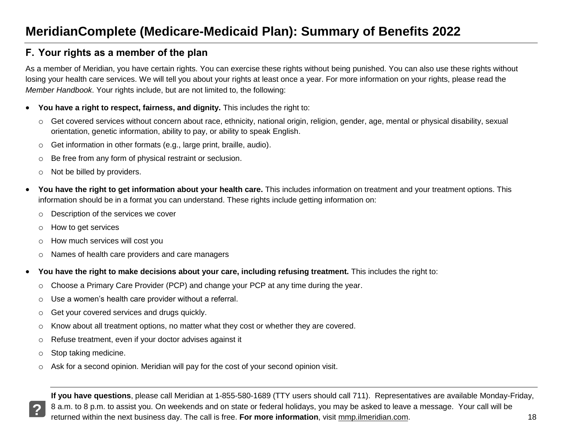#### <span id="page-18-0"></span> **F. Your rights as a member of the plan**

 As a member of Meridian, you have certain rights. You can exercise these rights without being punished. You can also use these rights without losing your health care services. We will tell you about your rights at least once a year. For more information on your rights, please read the *Member Handbook*. Your rights include, but are not limited to, the following:

- **You have a right to respect, fairness, and dignity.** This includes the right to:
	- o Get covered services without concern about race, ethnicity, national origin, religion, gender, age, mental or physical disability, sexual orientation, genetic information, ability to pay, or ability to speak English.
	- $\circ$  Get information in other formats (e.g., large print, braille, audio).
	- $\circ$  Be free from any form of physical restraint or seclusion.
	- $\circ$  Not be billed by providers.
- **You have the right to get information about your health care.** This includes information on treatment and your treatment options. This information should be in a format you can understand. These rights include getting information on:
	- o Description of the services we cover
	- o How to get services
	- $\circ$  How much services will cost you
	- o Names of health care providers and care managers
- **You have the right to make decisions about your care, including refusing treatment.** This includes the right to:
	- $\circ$  Choose a Primary Care Provider (PCP) and change your PCP at any time during the year.
	- $\circ$  Use a women's health care provider without a referral.
	- $\circ$  Get your covered services and drugs quickly.
	- $\circ$  Know about all treatment options, no matter what they cost or whether they are covered.
	- o Refuse treatment, even if your doctor advises against it
	- o Stop taking medicine.

**?** 

 $\circ$  Ask for a second opinion. Meridian will pay for the cost of your second opinion visit.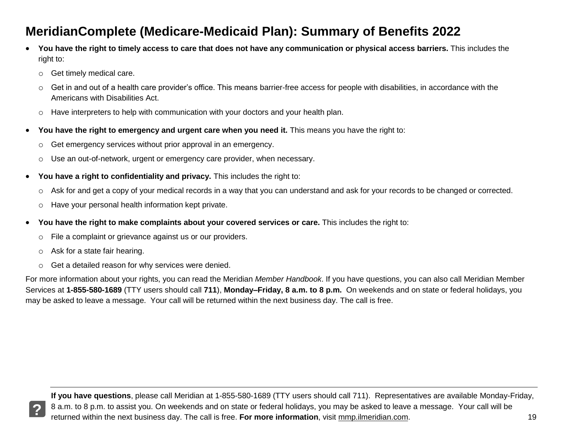- **You have the right to timely access to care that does not have any communication or physical access barriers.** This includes the right to:
	- o Get timely medical care.
	- $\circ$  Get in and out of a health care provider's office. This means barrier-free access for people with disabilities, in accordance with the Americans with Disabilities Act.
	- $\circ$  Have interpreters to help with communication with your doctors and your health plan.
- **You have the right to emergency and urgent care when you need it.** This means you have the right to:
	- $\circ$  Get emergency services without prior approval in an emergency.
	- $\circ$  Use an out-of-network, urgent or emergency care provider, when necessary.
- **You have a right to confidentiality and privacy.** This includes the right to:
	- o Ask for and get a copy of your medical records in a way that you can understand and ask for your records to be changed or corrected.
	- o Have your personal health information kept private.
- **You have the right to make complaints about your covered services or care.** This includes the right to:
	- $\circ$  File a complaint or grievance against us or our providers.
	- $\circ$  Ask for a state fair hearing.
	- o Get a detailed reason for why services were denied.

For more information about your rights, you can read the Meridian *Member Handbook*. If you have questions, you can also call Meridian Member Services at **1-855-580-1689** (TTY users should call **711**), **Monday–Friday, 8 a.m. to 8 p.m.** On weekends and on state or federal holidays, you may be asked to leave a message. Your call will be returned within the next business day. The call is free.

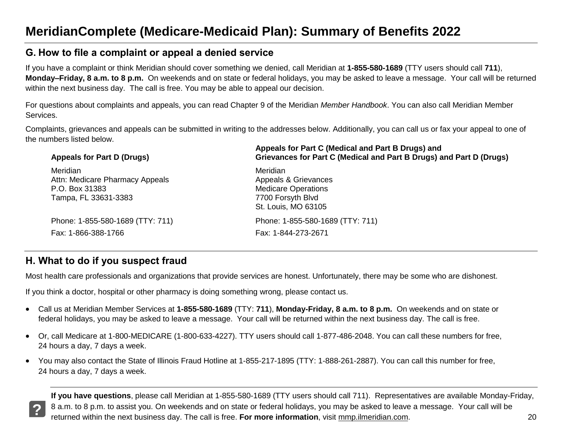#### <span id="page-20-0"></span> **G. How to file a complaint or appeal a denied service**

 If you have a complaint or think Meridian should cover something we denied, call Meridian at **1-855-580-1689** (TTY users should call **711**),  **Monday–Friday, 8 a.m. to 8 p.m.** On weekends and on state or federal holidays, you may be asked to leave a message. Your call will be returned within the next business day. The call is free. You may be able to appeal our decision.

 For questions about complaints and appeals, you can read Chapter 9 of the Meridian *Member Handbook*. You can also call Meridian Member Services.

Complaints, grievances and appeals can be submitted in writing to the addresses below. Additionally, you can call us or fax your appeal to one of the numbers listed below.

| Appeals for Part D (Drugs)       | Appeals for Part C (Medical and Part B Drugs) and<br>Grievances for Part C (Medical and Part B Drugs) and Part D (Drugs) |
|----------------------------------|--------------------------------------------------------------------------------------------------------------------------|
| Meridian                         | Meridian                                                                                                                 |
| Attn: Medicare Pharmacy Appeals  | Appeals & Grievances                                                                                                     |
| P.O. Box 31383                   | <b>Medicare Operations</b>                                                                                               |
| Tampa, FL 33631-3383             | 7700 Forsyth Blvd                                                                                                        |
|                                  | St. Louis, MO 63105                                                                                                      |
| Phone: 1-855-580-1689 (TTY: 711) | Phone: 1-855-580-1689 (TTY: 711)                                                                                         |
| Fax: 1-866-388-1766              | Fax: 1-844-273-2671                                                                                                      |
|                                  |                                                                                                                          |

#### <span id="page-20-1"></span> **H. What to do if you suspect fraud**

Most health care professionals and organizations that provide services are honest. Unfortunately, there may be some who are dishonest.

If you think a doctor, hospital or other pharmacy is doing something wrong, please contact us.

- Call us at Meridian Member Services at **1-855-580-1689** (TTY: **711**), **Monday-Friday, 8 a.m. to 8 p.m.** On weekends and on state or federal holidays, you may be asked to leave a message. Your call will be returned within the next business day. The call is free.
- Or, call Medicare at 1-800-MEDICARE (1-800-633-4227). TTY users should call 1-877-486-2048. You can call these numbers for free, 24 hours a day, 7 days a week.
- You may also contact the State of Illinois Fraud Hotline at 1-855-217-1895 (TTY: 1-888-261-2887). You can call this number for free, 24 hours a day, 7 days a week.